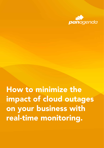

on your business with How to minimize the impact of cloud outages real-time monitoring.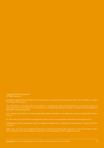Copyright © 2019, panagenda All Rights Reserved.

panagenda believes the information in this publication is accurate as of its publication date. The information is subject to change without notice.

The information in this publication is provided 'as is'. panagenda makes no representations or warranties of any kind with respect to the information in this publication, and specifically disclaims implied warranties of merchantability or fitness for a particular purpose.

Use, copying, and distribution of any panagenda software described in this publication requires an applicable software license.

For the most up-to-date listing of panagenda product names, see panagenda trademarks on panagenda.com.

OfficeExpert and the panagenda logo are registered trademarks or trademarks of panagenda in Austria and other countries.

Office 365, and Azure are registered trademarks or trademarks of Microsoft Corporation in the United States and/or other jurisdictions. All other trademarks used herein are the property of their respective owners.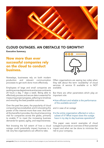

#### CLOUD OUTAGES. AN OBSTACLE TO GROWTH?

Executive Summary

Now more than ever successful companies rely on the cloud to conduct business.

Nowadays, businesses rely on both modern production and relevant communication processes to get work done more effectively.

Employees of large and small companies are working across departments and across continents 24 hours a day, 7 days a week. Being able to effectively process and secure data is essential for measuring project progress, adhering to timelines and ensuring the best possible outcomes.

Over the past few years, the popularity of cloud computing has snowballed, and it is boosting the power of the internet more than ever. And with all the benefits it provides, the cloud is becoming vital for companies across the globe, primarily to enable IT to meet the increasing business demands for speed, agility, and responsiveness.

Not knowing the full extent of how a cloud outage could potentially impact business is a risk very few organizations can afford to take.



Often organizations are seeing two sides when they talk about the term 'availability' of cloud services. A service IS available or is NOT available.

But there are other parameters which play an important role:

• How efficient and reliable is the performance of the available service?

and in case of an outage

• Is the entire organization affected or only a subset of it? What impact does the outage have in my day to day business operations?

This paper uses recent examples of cloud outages to provide an overview of their potential impact and what can be done to minimize the risk to your company.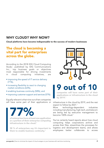#### WHY CLOUD? WHY NOW?

Cloud platforms have become indispensable to the success of modern businesses

#### The cloud is becoming a vital part for enterprises across the globe.

According to the 2018 IDG Cloud Computing Study1, published by IDG Communications Inc., top business goals or objectives most responsible for driving investments in cloud computing initiatives, are

- improving the speed of IT service delivery (71%),
- increasing flexibility to react to changing market conditions (63%),
- enabling business continuity (58%), and
- improving customer support and services (57%).

Equally relevant is that nine out of ten companies will have some part of their applications or



of enterprises have at least one application or a portion of their enterprise computing infrastructure in the cloud.<sup>1</sup>

58 % of enterprises say it's important to them to enable business continuity.<sup>1</sup>



## **9 out of**

companies will have some part of their applications or infrastructure in the cloud by 2019.1

infrastructure in the cloud by 2019, and the rest expect to follow by 2021.<sup>1</sup>

More technology-dependent industries including manufacturing, high-tech, and telecom are being led by executive management to become 100% cloud.<sup>1</sup>

You've certainly heard reports about how cloud computing helps corporations archive and access their files, streamlines the processes for logistics and development teams, and allows employees better collaborate to access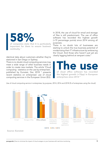58% of companies state that it is particularly

important for them to ensure business continuity. 1

identical data about customers whether they're stationed in San Diego or Sydney.

There is no doubt cloud computing services may meet a wide range of other business needs in order to create new markets. The article 'Cloud computing - statistics on the use by enterprises', published by Eurostat, Dec 2018 5 presents recent statistics on enterprises' use of cloud computing services in the European Union (EU).

In 2018, the use of cloud for email and storage of files is still predominant. The use of office software has recorded the highest growth (+19 percentage points) since 2014 among all purposes.

There is no doubt lots of businesses are starting to unlock the true business potential of modernizing their IT infrastructure by embracing the Cloud. And those who haven't just yet are clearly lagging behind at rampant costs.<sup>5</sup>

# The use

of cloud office software has recorded the highest growth (+19pp) in European enterprises since 2014 5



Use of cloud computing service in enterprises, by purpose, 2014, 2016 and 2018 (% of enterprises using the cloud)

#### Source: Eurostat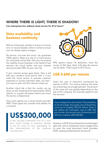#### WHERE THERE IS LIGHT, THERE IS SHADOW!

Can enterprises live without cloud service for 87,6 hours?

#### Data availability and business continuity

With all of that said, whether it is due to a human error or natural disaster, when it comes to cloud, one can always expect outages.

No service, not even the cloud, can guarantee 100% uptime. When you rely on a cloud service for a business-critical task, then you are putting the viability of your business in the hands of two services: the cloud vendor and your internet service provider (ISP). At your own risk.

If your internet access goes down, then it will take your vendor's cloud service with it. If you need the cloud service to process customer payments or access important data, too bad – you have to wait until the internet is back up.

Another cloud risk is that the vendor can go down as well. Anything from bad weather, DDoS attacks, or a good old system failure can knock the service unresponsive.

How much uptime can a cloud vendor provide? 99%? That's great but consider that statistic for a moment.

### US\$300,000

is the average estimated cost of a onehour cloud outage in business though it can be more or less depending on the characteristics of the business environment. 4



99% uptime means 1% downtime. Over the course of 365 days, that's 3.65 days the service can be down. That's equal to 87.6 hours.

### US\$ 5.600 per minute

That's the cost of downtime proclaimed by Gartner in 2014<sup>4</sup>. For various reasons, the value can only be seen as a rough estimate. The amount of the costs will vary greatly depending on the size of the company, the business segment and the turnover.

If we multiply the value by the 1% probability of cloud outage, the yearly cost of downtime sums up to roughly US\$ 29 million. Even if we reduce the estimated cost to US\$ 100 per minute, the annual cost of downtime will still be a massive US\$ 500,000.

However, in 2018, the world saw the cloud storage's dark side. Some unexpected cloud outages have hit even the most prominent cloud providers (CSP), causing embarrassment all around. 2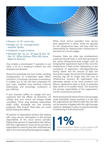

- Amazon: Jul 18 prime day
- Google: Jul. 18 amongst others snapchat, Spotify
- Facebook: 3 major incidents
- Microsoft: Apr. 18, Jun. 18, Sept.18, Nov. 18, Feb. 19 - Office Outlook, Office 365, Azure, Skype for Business

How reliable a cloud-based IT operation is can mean a lot to a company's bottom line and employee productivity.

Downtime potentially has even further reaching consequences; an unexpected ripple effect. Let's face it, in business, reputation is everything. It enables you to hire the best employees for your team, establish long standing customer relationships and encourage investment in your offering.

If your business suffers an outage and your customers feel the effects of downtime, it's unlikely that your brand will escape totally unscathed. Those long standing relationships might suffer, alongside any new business prospects. Who knows? Years later, you could still be feeling the effects.

59 percent of respondents believe that dealing with cloud service interruptions is the primary responsibility of the cloud service provider. Eighty-three percent of respondents also believe that their organization's cloud service provider is responsible for ensuring that their workloads and data in the cloud are protected against outages.<sup>3</sup>

While cloud service providers have service level agreements in place, these are typically for the infrastructure layer and they hold the responsibility for restoring their infrastructure in the event of a cloud outage.

However, there are other key considerations customers should keep in mind that go beyond the actual infrastructure-level outage, such as bringing their applications back online, once the infrastructure is back online. Depending on the complexity of application inter-dependencies during restart and the amount of data lost during the outage, the actual time of application recovery may be far longer than the time of infrastructure recovery. An organization may alternately decide to be more proactive and failover applications back to their on-premises data center or to another cloud. This would be the primary responsibility of the organization, not the cloud service provider.

Not knowing the full extent of how a cloud outage could potentially impact business is a risk very few organizations can afford to take. But, the risks can be severely mitigated with the right business resiliency strategies in place to reap the benefits of embracing a multi-cloud world.

# 1%

cloud downtime within a year equals 3.65 days and that's equal to 87.6 hours.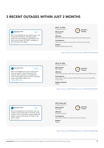#### 3 RECENT OUTAGES WITHIN JUST 2 MONTHS





Folgen

We're investigating an issue where users can't access their mailboxes through multiple protocols. More details are published in the admin center under EX172491, available to your Microsoft 365 admin. 01:53 - 24. Jan. 2019

2019, Jan 24th Outage scenario 1

Microsoft ID EX172491



Affected Microsoft Office 365, Exchange Online & Authentication Consequence

Users were unable to access their mail for an entire day

Regions Europe, Middle East, Africa

*<https://twitter.com/stonkcat status/1088457077964435456>*



3:45 - 29. Jan. 201

We're investigating an issue in which users may be unable to access Microsoft 365 services. We're working to remediate the issue. More details can be found in the admin center under MO172692 or at status.office.com.

2019, Jan 29th Outage scenario 2

Microsoft ID MO172692

Affected



Office 365, Dynamics 365, Azure Government Cloud, DNS service

Consequence Users were unable to access Office 365 service and on top URLs from emails

Regions affected Global

*<https://twitter.com/MSFT365Status/status/1090365460208472064>*



**Follow** 

We're investigating an issue where users are unable to access their lists or libraries via the modern view in SharePoint Online. Additional details can be found under SP175201 in the admin center. 12:05 PM - 4 Mar 2019

2019, March 4th Outage scenario 3

Microsoft ID SP175201

Affected SharePoint Online

**Consequence** Users were unable to access their lists or libraries

Regions Global

Duration 2 hours

 *[https://twitter.com/MSFT365Status/status/1102661314558681088]( https://twitter.com/MSFT365Status/status/1102661314558681088)*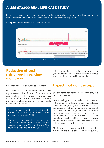#### A US\$ 672,000 REAL-LIFE CASE STUDY

In the last example above, real-time monitoring indicated a cloud outage a full 2 hours before the official notification by the CSP. This represents a potential saving of US\$ 672,000!

Sharepoint Outage Scenario, Mar 4th, SP175201



#### Reduction of cost risk through real-time monitoring

Using a proactive monitoring solution reduces your downtime and associated costs by allowing you to begin to respond immediately.

Let's look at how this figure was calculated:

It usually takes 20 or more minutes for organizations to be informed of and react to a service failure, whether from your own employees or from a CSP. In the example above, however, if proactive monitoring not been in place, it could have taken 120 minutes.

Assuming that 1 minute equals US\$ 5,600 loss (Gartner), then 120 minutes would result in a total loss of US\$ 672,000.

But, this is just one example. As already seen, there have already been 3 such outages between January and March of this year. This could have added up to over US\$ 2 million!

#### Expect, but don't accept

So, downtime can carry a heavy price tag, but can it be prevented?

One of the biggest concerns about cloud services is the potential for loss of control and outages, never mind the growing frustration from end-users themselves for not being able to use their digital tools to collaborate and get more work done with their colleagues, customers and business partners. That's why, while cloud services have many benefits and can be a critical part to any business's operations, it is important to have a plan in place to help mitigate the risk of an outage.

Media coverage has pinned blame for the failures on the cloud service providers (CSPs),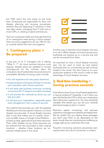but CSPs aren't the only entity on the hook here. Enterprises are responsible for their own disaster planning and recovery procedures, whether they are deploying IT solutions in their own data center, managing their IT with one or more CSPs, or utilizing a hybrid architecture.

How can companies make sure they get that kind of no news/good news during a cloud outage? Here are some suggestions we can offer for you to consider before the next one happens:

#### 1. Contingency plans > Be prepared

A big part of an IT manager's job is asking, "What if…?" As cloud services become more popular, disaster plans are updated to include contingencies for the moment when the company's cloud-hosted data resources become unavailable. Benefits of having a plan include:

- You will experience far less yearly downtime
- Implementation of the plan will help to maintain your reputation with clients/customers
- It will assist with business continuity, including continuous 24/7 IT support as is often necessary
- It will provide the methods by which you can test your plan
- It will give your organization, especially upper level management, with a sense of security

The method that provides you with the greatest flexibility and recovery speed, however, is a cloud disaster recovery plan. A cloud disaster recovery plan is one that makes use of a public cloud - such as AWS, Azure or Google Cloud Platform - to back up data, applications and other resources. Then, when disaster occurs, those resources can be restored from the cloud back to their original locations -- whether those locations are onpremise infrastructure or the cloud.

Another way to describe cloud disaster recovery is to call it offsite disaster recovery because your workloads are backed up to a remote site and can be recovered from there.

It's important to note a cloud disaster recovery plan can be used to back up and restore workloads that run on-premises as well as those hosted in the cloud. You don't have to run your production systems in the cloud in order to take advantage of cloud disaster recovery.

#### 2. Real time monitoring > Saving precious seconds

How will you know if your cloud-based application is having problems? Hopefully, it isn't when you get informed by the CSP or when your employees start calling your support line. You lose extremely valuable time before you can set your carefully planned emergency plan in motion.

Real-time system monitoring, and end-user experience management software are helpful here. But be careful how you deploy these packages; you don't want them to be dependent on the same clouds they are monitoring and suffering an outage right as you need them the most.

Powerful monitoring solutions proactively warn exactly when the loss of connection is evident.

panagenda | How to minimize the impact of cloud outages on your business with real-time monitoring **10** magnetic in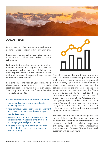

#### **CONCLUSION**

Monitoring your IT-infrastructure in real-time is no longer a nice capability to have but a key one.

Businesses must use real-time analytics solutions to help understand how their cloud environment is behaving.

Not only to be alerted ahead of time when different outages may happen, but also to ensure continued access to the digital tools at their disposal. End-users can continue to get their work done with their peers, their customers and their business partners.

Real-time data analytics of your digital tools allows you to work smarter and proactively resolve issues before your end-users even notice. That's why in addition to the financial benefits you would be able to:

- •Avoid compromising the business reputation
- Control and customize your own disaster recovery processes
- Keep employee user experience, engagement and overall productivity at the same high standards as ever
- Increase trust in your ability to respond and act accordingly in a record time, from both your employees and your customers
- Validate the company's commitment when coping with failures to both employees and customers alike.



And while you may be wondering, right as we speak, whether your recovery procedures may well be up to date to cope with a potential cloud outage, you may also need to think about what real-time monitoring analytics solution you could tap into in order to help you enter the world of predictive analytics. That's why we at panagenda have put together a beta environment where you could test, free of charge, one of our solutions, OfficeExpert, to help you get up to speed with what's available today. You won't have to install anything to get things start, nor purchase any license. Just take it for a spin, play with it and see how it could apply to your own business.

You never know, the next cloud outage may well be just right around the corner and better to be ready today than to be sorry tomorrow. Let real-time monitoring analytics help you anticipate, clear off the many uncertainties and make your life easier. Your end-users and customers will be thankful, too!